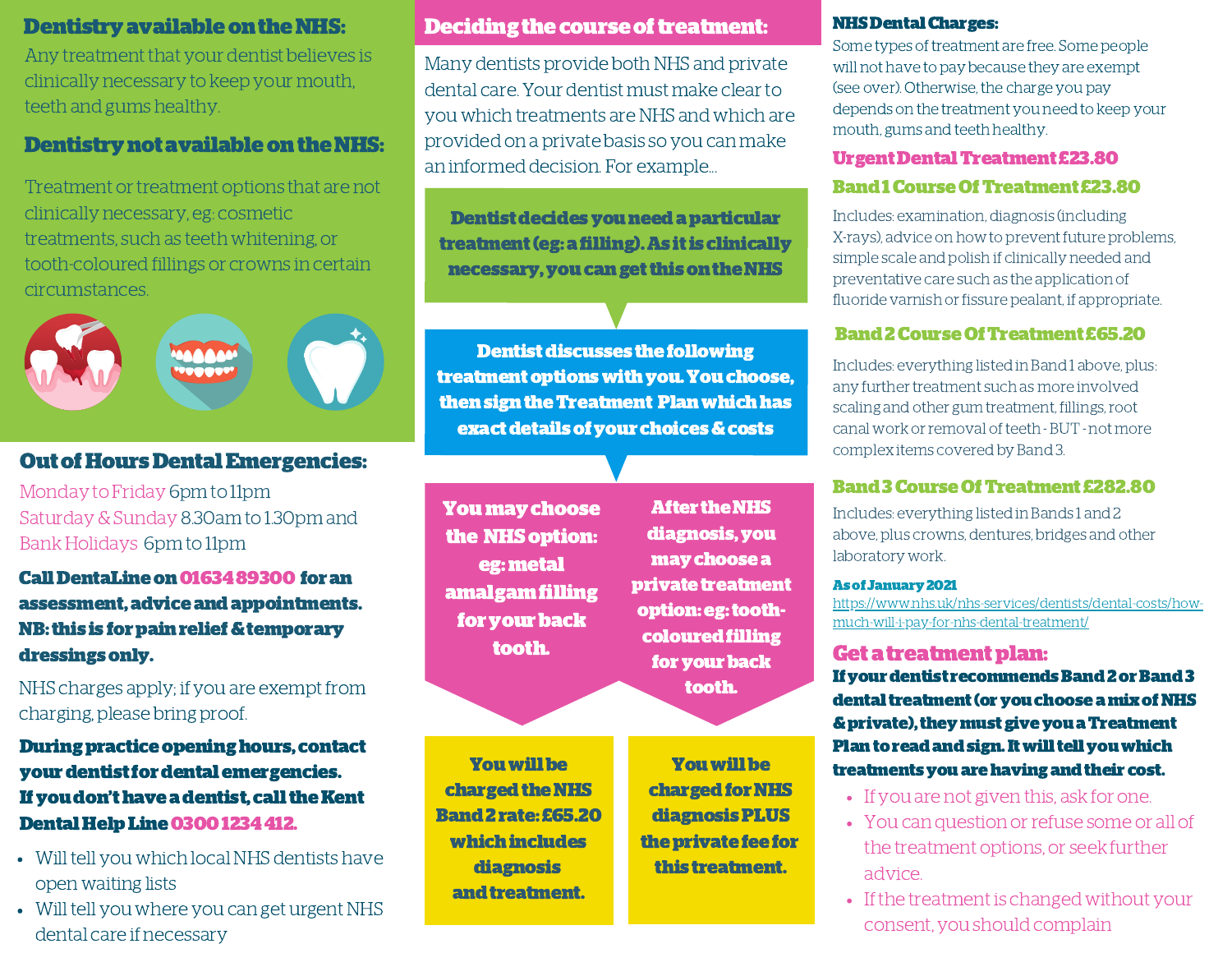Any treatment that your dentist believes is clinically necessary to keep your mouth, teeth and gums healthy.

# Dentistry not available on the NHS:

Treatment or treatment options that are not clinically necessary, eg: cosmetic treatments, such as teeth whitening, or tooth-coloured fillings or crowns in certain circumstances.



# OutofHoursDentalEmergencies:

Monday to Friday 6pm to 11pm Saturday&Sunday 8.30am to 1.30pm and Bank Holidays 6pm to 11pm

Call DentaLine on 0163489300 for an assessment,adviceandappointments. NB: this is for pain relief & temporary dressingsonly.

NHS charges apply; if you are exempt from charging, please bring proof.

Duringpracticeopeninghours, contact your dentist for dental emergencies. If you don't have a dentist, call the Kent Dental Help Line 0300 1234 412.

- Will tell you which local NHS dentists have open waiting lists
- Will tell you where you can get urgent NHS dental care if necessary

# Dentistry available on the NHS: Deciding the course of treatment:

Many dentists provide both NHS and private dental care. Your dentist must make clearto you which treatments are NHS and which are provided on a private basis so you can make an informed decision. For example...

Dentist decides you need a particular treatment(eg:afilling).As itis clinically necessary, you can get this on the NHS

**Dentist discusses the following** treatmentoptionswithyou.Youchoose, thensigntheTreatment Planwhichhas exactdetailsofyour choices&costs

Youmaychoose the NHS option: eg:metal amalgamfilling for your back tooth.

**After the NHS** diagnosis,you maychoosea private treatment option:eg:toothcoloured filling for your back tooth.

Youwillbe charged for NHS diagnosisPLUS theprivatefeefor this treatment.

Youwillbe charged the NHS Band2rate: £65.20 whichincludes diagnosis and treatment.

**NHS Dental Charges:** 

Some types of treatment are free. Some people will not have to pay because they are exempt (see over). Otherwise, the charge you pay depends on the treatment you need to keep your mouth, gums and teeth healthy.

# UrgentDentalTreatment £23.80

## Band1CourseOfTreatment £23.80

Includes: examination, diagnosis (including X-rays), advice on how to prevent future problems, simple scale and polish if clinically needed and preventative care such as the application of fluoride varnish or fissure pealant, if appropriate.

# Band2CourseOfTreatment £65.20

Includes: everything listed in Band 1 above, plus: any further treatment such as more involved scaling and other gum treatment, fillings,root canal work or removal of teeth - BUT - not more complex items covered by Band 3.

# Band3CourseOfTreatment £282.80

Includes: everything listed in Bands 1 and 2 above, plus crowns, dentures, bridges and other laboratory work.

#### Asof January2021

[https://www.nhs.uk/nhs-services/dentists/dental-costs/how](https://www.nhs.uk/nhs-services/dentists/dental-costs/how-much-will-i-pay-for-nhs-dental-treatment/)much-will-i-pay-for-nhs-dental-treatment/

# Get a treatment plan:

If your dentist recommends Band 2 or Band 3 dental treatment (or you choose a mix of NHS & private), they must give you a Treatment Plan to read and sign. It will tell you which treatments you are having and their cost.

- If you are not given this, ask for one.
- You can question or refuse some or all of the treatment options, or seek further advice.
- If the treatment is changed without your consent, you should complain